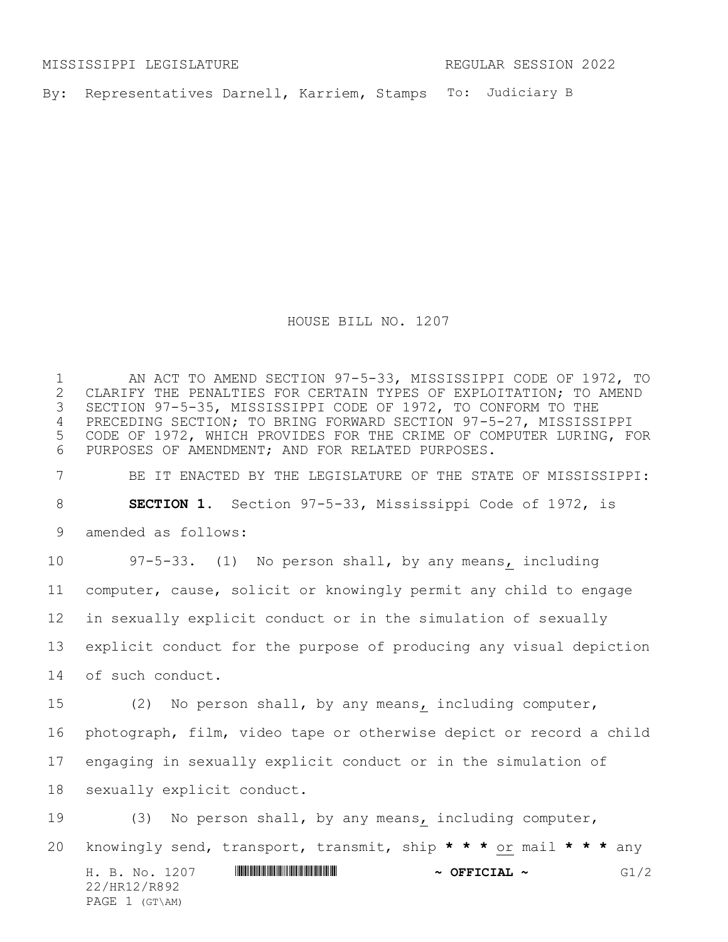MISSISSIPPI LEGISLATURE REGULAR SESSION 2022

By: Representatives Darnell, Karriem, Stamps To: Judiciary B

HOUSE BILL NO. 1207

1 AN ACT TO AMEND SECTION 97-5-33, MISSISSIPPI CODE OF 1972, TO<br>2 CLARIFY THE PENALTIES FOR CERTAIN TYPES OF EXPLOITATION; TO AMEND 2 CLARIFY THE PENALTIES FOR CERTAIN TYPES OF EXPLOITATION; TO AMEND<br>3 SECTION 97-5-35, MISSISSIPPI CODE OF 1972, TO CONFORM TO THE SECTION 97-5-35, MISSISSIPPI CODE OF 1972, TO CONFORM TO THE PRECEDING SECTION; TO BRING FORWARD SECTION 97-5-27, MISSISSIPPI CODE OF 1972, WHICH PROVIDES FOR THE CRIME OF COMPUTER LURING, FOR PURPOSES OF AMENDMENT; AND FOR RELATED PURPOSES.

 BE IT ENACTED BY THE LEGISLATURE OF THE STATE OF MISSISSIPPI: **SECTION 1.** Section 97-5-33, Mississippi Code of 1972, is amended as follows:

 97-5-33. (1) No person shall, by any means, including computer, cause, solicit or knowingly permit any child to engage in sexually explicit conduct or in the simulation of sexually explicit conduct for the purpose of producing any visual depiction of such conduct.

 (2) No person shall, by any means, including computer, photograph, film, video tape or otherwise depict or record a child engaging in sexually explicit conduct or in the simulation of sexually explicit conduct.

H. B. No. 1207 \*HR12/R892\* **~ OFFICIAL ~** G1/2 22/HR12/R892 PAGE 1 (GT\AM) (3) No person shall, by any means, including computer, knowingly send, transport, transmit, ship **\* \* \*** or mail **\* \* \*** any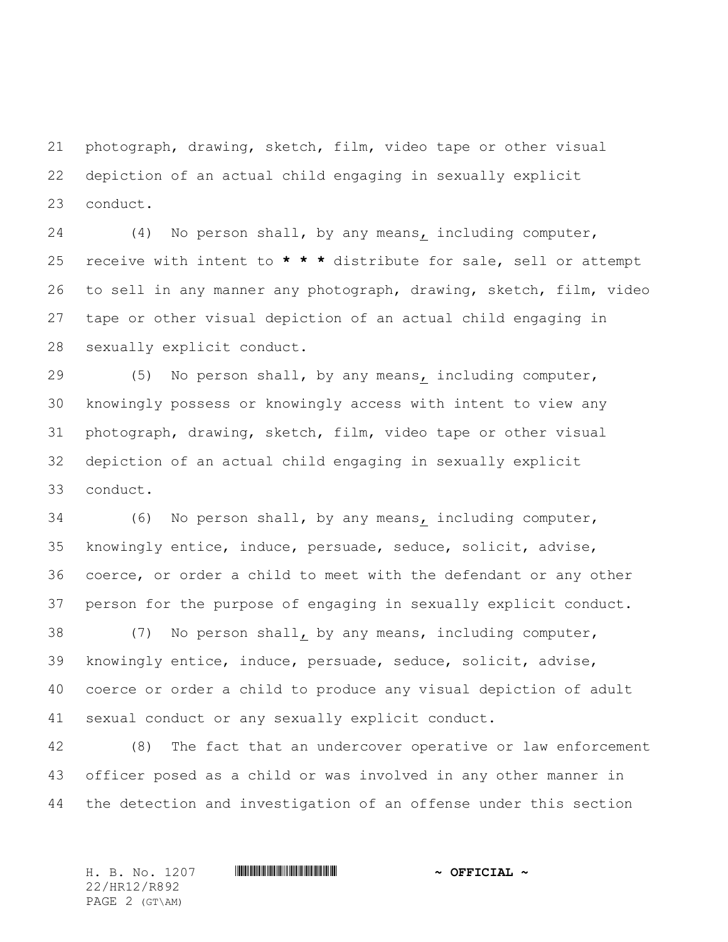photograph, drawing, sketch, film, video tape or other visual depiction of an actual child engaging in sexually explicit conduct.

 (4) No person shall, by any means, including computer, receive with intent to **\* \* \*** distribute for sale, sell or attempt to sell in any manner any photograph, drawing, sketch, film, video tape or other visual depiction of an actual child engaging in sexually explicit conduct.

 (5) No person shall, by any means, including computer, knowingly possess or knowingly access with intent to view any photograph, drawing, sketch, film, video tape or other visual depiction of an actual child engaging in sexually explicit conduct.

 (6) No person shall, by any means, including computer, knowingly entice, induce, persuade, seduce, solicit, advise, coerce, or order a child to meet with the defendant or any other person for the purpose of engaging in sexually explicit conduct.

 (7) No person shall, by any means, including computer, knowingly entice, induce, persuade, seduce, solicit, advise, coerce or order a child to produce any visual depiction of adult sexual conduct or any sexually explicit conduct.

 (8) The fact that an undercover operative or law enforcement officer posed as a child or was involved in any other manner in the detection and investigation of an offense under this section

22/HR12/R892 PAGE 2 (GT\AM)

H. B. No. 1207 \*HR12/R892\* **~ OFFICIAL ~**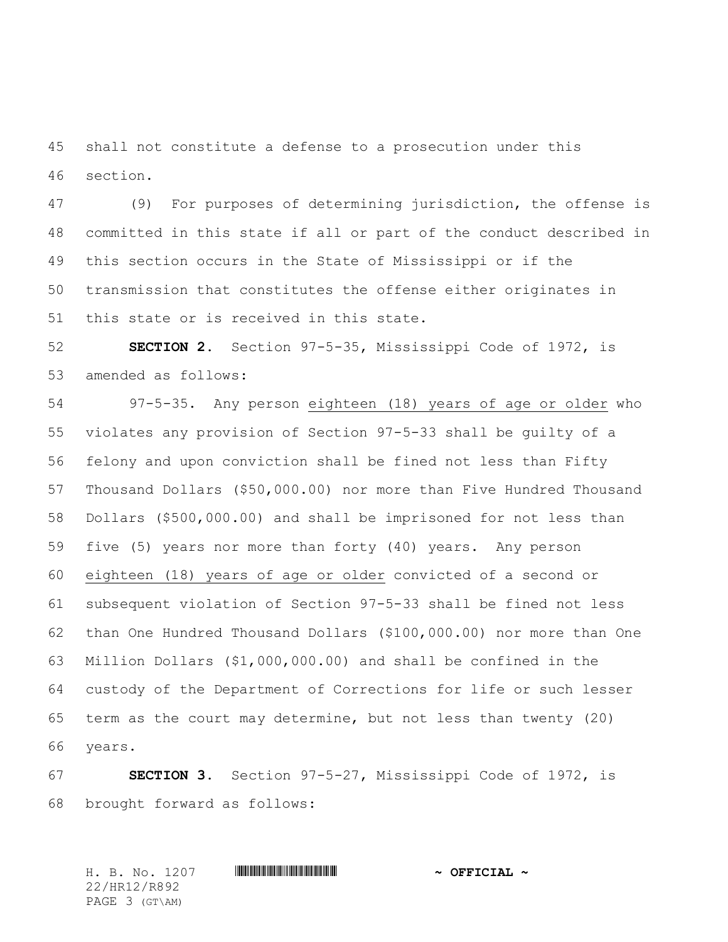shall not constitute a defense to a prosecution under this section.

 (9) For purposes of determining jurisdiction, the offense is committed in this state if all or part of the conduct described in this section occurs in the State of Mississippi or if the transmission that constitutes the offense either originates in this state or is received in this state.

 **SECTION 2.** Section 97-5-35, Mississippi Code of 1972, is amended as follows:

 97-5-35. Any person eighteen (18) years of age or older who violates any provision of Section 97-5-33 shall be guilty of a felony and upon conviction shall be fined not less than Fifty Thousand Dollars (\$50,000.00) nor more than Five Hundred Thousand Dollars (\$500,000.00) and shall be imprisoned for not less than five (5) years nor more than forty (40) years. Any person eighteen (18) years of age or older convicted of a second or subsequent violation of Section 97-5-33 shall be fined not less than One Hundred Thousand Dollars (\$100,000.00) nor more than One Million Dollars (\$1,000,000.00) and shall be confined in the custody of the Department of Corrections for life or such lesser term as the court may determine, but not less than twenty (20) years.

 **SECTION 3.** Section 97-5-27, Mississippi Code of 1972, is brought forward as follows:

H. B. No. 1207 \*HR12/R892\* **~ OFFICIAL ~** 22/HR12/R892 PAGE 3 (GT\AM)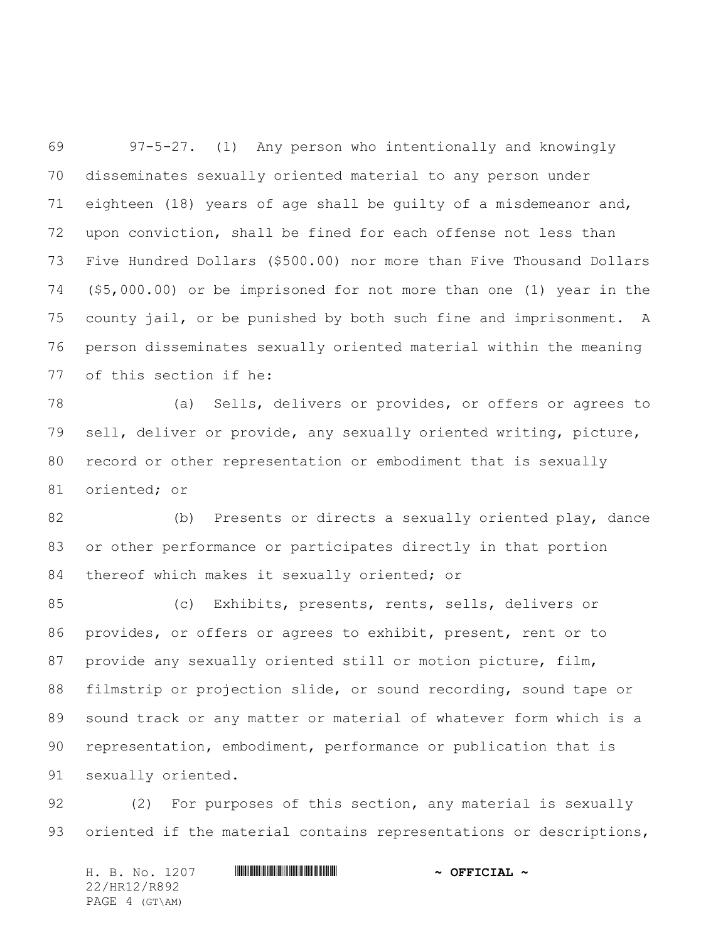97-5-27. (1) Any person who intentionally and knowingly disseminates sexually oriented material to any person under eighteen (18) years of age shall be guilty of a misdemeanor and, upon conviction, shall be fined for each offense not less than Five Hundred Dollars (\$500.00) nor more than Five Thousand Dollars (\$5,000.00) or be imprisoned for not more than one (1) year in the county jail, or be punished by both such fine and imprisonment. A person disseminates sexually oriented material within the meaning of this section if he:

 (a) Sells, delivers or provides, or offers or agrees to sell, deliver or provide, any sexually oriented writing, picture, record or other representation or embodiment that is sexually oriented; or

 (b) Presents or directs a sexually oriented play, dance or other performance or participates directly in that portion 84 thereof which makes it sexually oriented; or

 (c) Exhibits, presents, rents, sells, delivers or provides, or offers or agrees to exhibit, present, rent or to 87 provide any sexually oriented still or motion picture, film, filmstrip or projection slide, or sound recording, sound tape or sound track or any matter or material of whatever form which is a representation, embodiment, performance or publication that is sexually oriented.

 (2) For purposes of this section, any material is sexually 93 oriented if the material contains representations or descriptions,

H. B. No. 1207 **HRIBRICH SEPTIME AND A SEPTICIAL ~** 22/HR12/R892 PAGE 4 (GT\AM)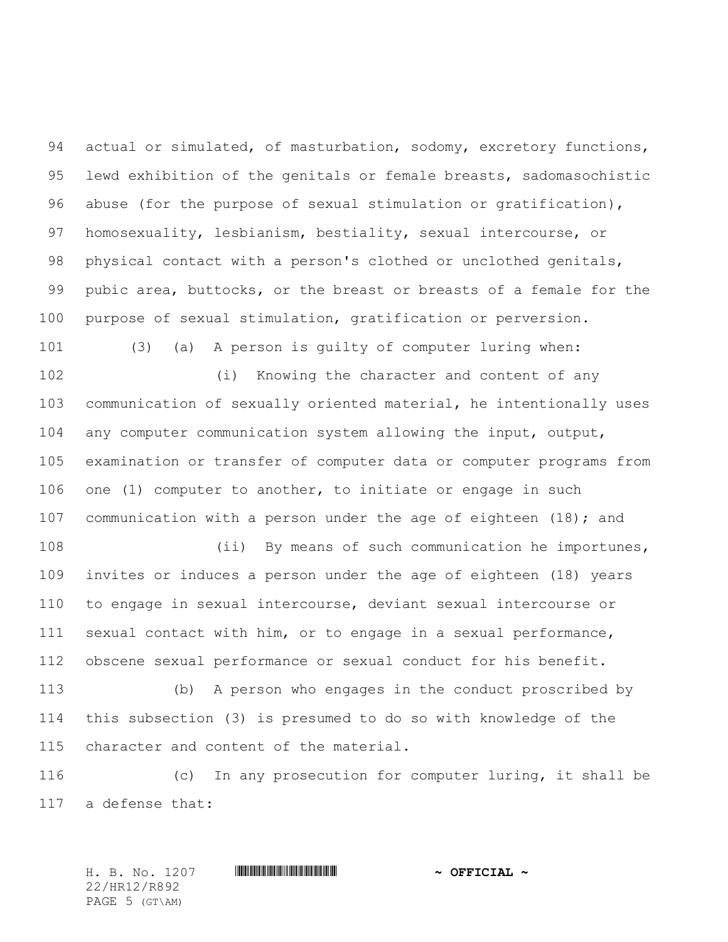94 actual or simulated, of masturbation, sodomy, excretory functions, lewd exhibition of the genitals or female breasts, sadomasochistic abuse (for the purpose of sexual stimulation or gratification), homosexuality, lesbianism, bestiality, sexual intercourse, or physical contact with a person's clothed or unclothed genitals, pubic area, buttocks, or the breast or breasts of a female for the purpose of sexual stimulation, gratification or perversion.

 (i) Knowing the character and content of any communication of sexually oriented material, he intentionally uses any computer communication system allowing the input, output, examination or transfer of computer data or computer programs from one (1) computer to another, to initiate or engage in such 107 communication with a person under the age of eighteen (18); and

(3) (a) A person is guilty of computer luring when:

108 (ii) By means of such communication he importunes, invites or induces a person under the age of eighteen (18) years to engage in sexual intercourse, deviant sexual intercourse or sexual contact with him, or to engage in a sexual performance, obscene sexual performance or sexual conduct for his benefit.

 (b) A person who engages in the conduct proscribed by this subsection (3) is presumed to do so with knowledge of the character and content of the material.

 (c) In any prosecution for computer luring, it shall be a defense that:

22/HR12/R892 PAGE 5 (GT\AM)

H. B. No. 1207 \*HR12/R892\* **~ OFFICIAL ~**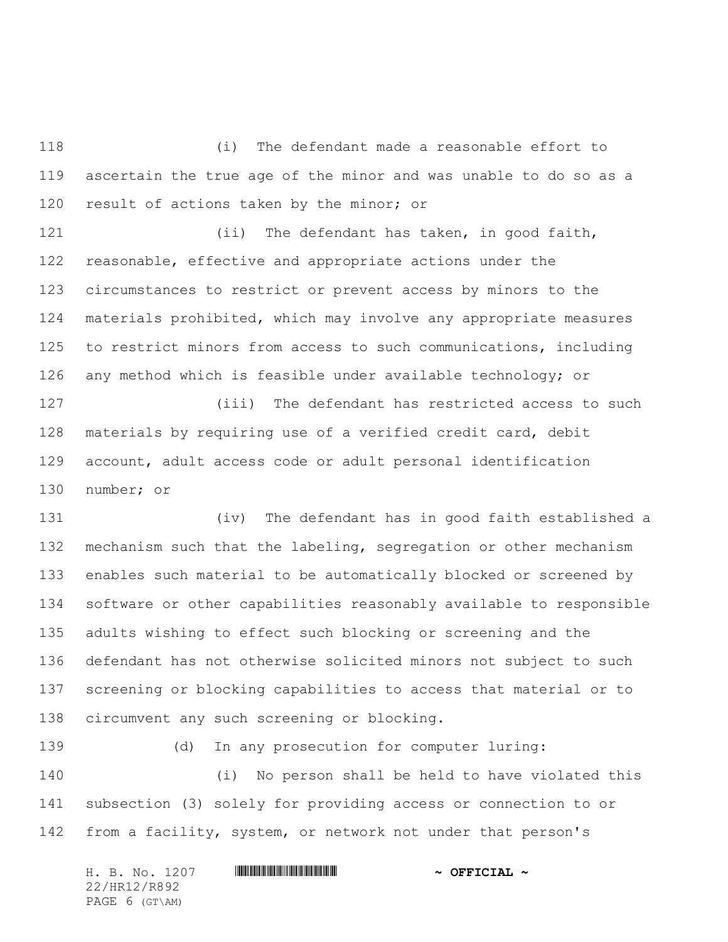(i) The defendant made a reasonable effort to ascertain the true age of the minor and was unable to do so as a 120 result of actions taken by the minor; or

121 (ii) The defendant has taken, in good faith, reasonable, effective and appropriate actions under the circumstances to restrict or prevent access by minors to the materials prohibited, which may involve any appropriate measures to restrict minors from access to such communications, including any method which is feasible under available technology; or (iii) The defendant has restricted access to such materials by requiring use of a verified credit card, debit account, adult access code or adult personal identification

number; or

 (iv) The defendant has in good faith established a mechanism such that the labeling, segregation or other mechanism enables such material to be automatically blocked or screened by software or other capabilities reasonably available to responsible adults wishing to effect such blocking or screening and the defendant has not otherwise solicited minors not subject to such screening or blocking capabilities to access that material or to circumvent any such screening or blocking.

(d) In any prosecution for computer luring:

 (i) No person shall be held to have violated this subsection (3) solely for providing access or connection to or from a facility, system, or network not under that person's

| H. B. No. 1207 | $\sim$ OFFICIAL $\sim$ |
|----------------|------------------------|
| 22/HR12/R892   |                        |
| PAGE 6 (GT\AM) |                        |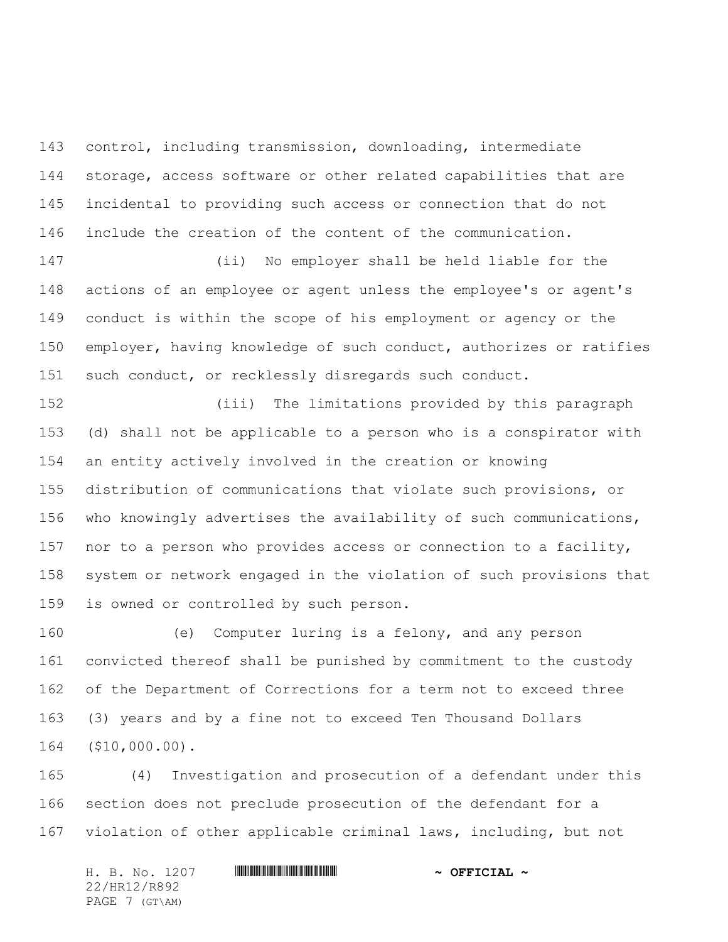control, including transmission, downloading, intermediate storage, access software or other related capabilities that are incidental to providing such access or connection that do not include the creation of the content of the communication.

 (ii) No employer shall be held liable for the actions of an employee or agent unless the employee's or agent's conduct is within the scope of his employment or agency or the employer, having knowledge of such conduct, authorizes or ratifies such conduct, or recklessly disregards such conduct.

 (iii) The limitations provided by this paragraph (d) shall not be applicable to a person who is a conspirator with an entity actively involved in the creation or knowing distribution of communications that violate such provisions, or who knowingly advertises the availability of such communications, nor to a person who provides access or connection to a facility, system or network engaged in the violation of such provisions that is owned or controlled by such person.

 (e) Computer luring is a felony, and any person convicted thereof shall be punished by commitment to the custody of the Department of Corrections for a term not to exceed three (3) years and by a fine not to exceed Ten Thousand Dollars (\$10,000.00).

 (4) Investigation and prosecution of a defendant under this section does not preclude prosecution of the defendant for a violation of other applicable criminal laws, including, but not

H. B. No. 1207 **HRIBRICH SEPTIME AND A SEPTICIAL ~** 22/HR12/R892 PAGE 7 (GT\AM)